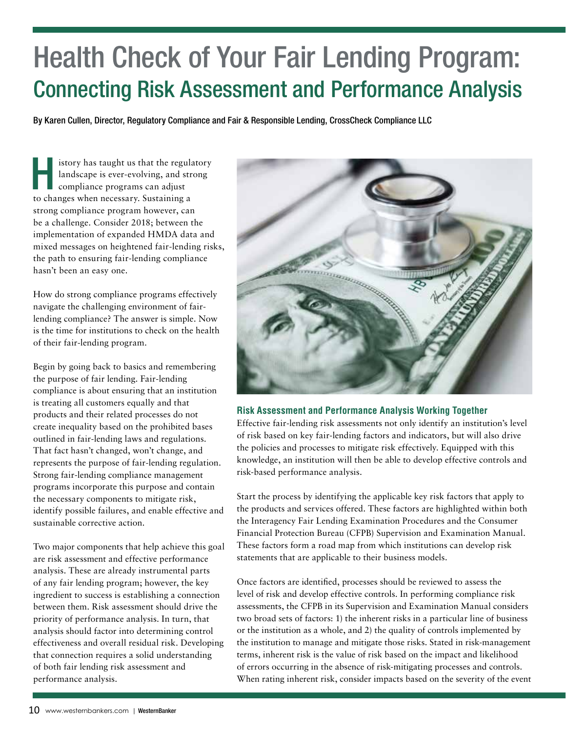## Health Check of Your Fair Lending Program: Connecting Risk Assessment and Performance Analysis

By Karen Cullen, Director, Regulatory Compliance and Fair & Responsible Lending, CrossCheck Compliance LLC

istory has taught us that the regulatory landscape is ever-evolving, and strong compliance programs can adjust to changes when necessary. Sustaining a strong compliance program however, can be a challenge. Consider 2018; between the implementation of expanded HMDA data and mixed messages on heightened fair-lending risks, the path to ensuring fair-lending compliance hasn't been an easy one.

How do strong compliance programs effectively navigate the challenging environment of fairlending compliance? The answer is simple. Now is the time for institutions to check on the health of their fair-lending program.

Begin by going back to basics and remembering the purpose of fair lending. Fair-lending compliance is about ensuring that an institution is treating all customers equally and that products and their related processes do not create inequality based on the prohibited bases outlined in fair-lending laws and regulations. That fact hasn't changed, won't change, and represents the purpose of fair-lending regulation. Strong fair-lending compliance management programs incorporate this purpose and contain the necessary components to mitigate risk, identify possible failures, and enable effective and sustainable corrective action.

Two major components that help achieve this goal are risk assessment and effective performance analysis. These are already instrumental parts of any fair lending program; however, the key ingredient to success is establishing a connection between them. Risk assessment should drive the priority of performance analysis. In turn, that analysis should factor into determining control effectiveness and overall residual risk. Developing that connection requires a solid understanding of both fair lending risk assessment and performance analysis.



#### **Risk Assessment and Performance Analysis Working Together**

Effective fair-lending risk assessments not only identify an institution's level of risk based on key fair-lending factors and indicators, but will also drive the policies and processes to mitigate risk effectively. Equipped with this knowledge, an institution will then be able to develop effective controls and risk-based performance analysis.

Start the process by identifying the applicable key risk factors that apply to the products and services offered. These factors are highlighted within both the Interagency Fair Lending Examination Procedures and the Consumer Financial Protection Bureau (CFPB) Supervision and Examination Manual. These factors form a road map from which institutions can develop risk statements that are applicable to their business models.

Once factors are identified, processes should be reviewed to assess the level of risk and develop effective controls. In performing compliance risk assessments, the CFPB in its Supervision and Examination Manual considers two broad sets of factors: 1) the inherent risks in a particular line of business or the institution as a whole, and 2) the quality of controls implemented by the institution to manage and mitigate those risks. Stated in risk-management terms, inherent risk is the value of risk based on the impact and likelihood of errors occurring in the absence of risk-mitigating processes and controls. When rating inherent risk, consider impacts based on the severity of the event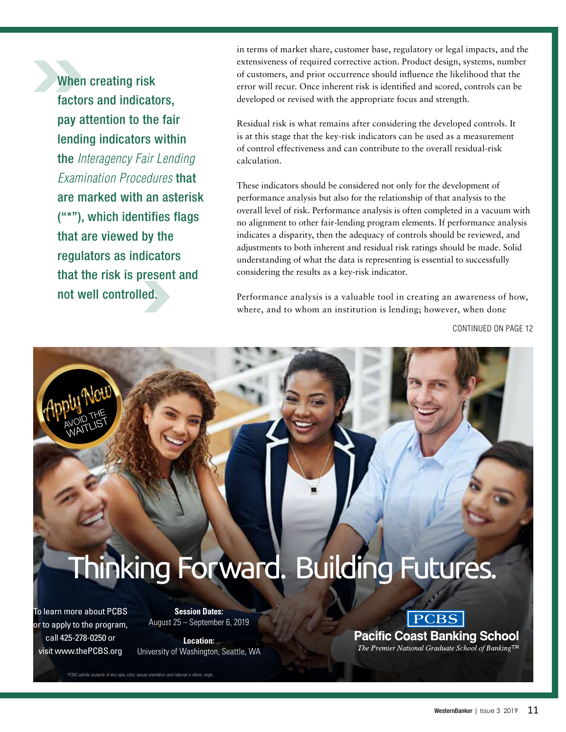When creating risk factors and indicators, pay attention to the fair lending indicators within the *Interagency Fair Lending Examination Procedures* that are marked with an asterisk ("\*"), which identifies flags that are viewed by the regulators as indicators that the risk is present and not well controlled.

in terms of market share, customer base, regulatory or legal impacts, and the extensiveness of required corrective action. Product design, systems, number of customers, and prior occurrence should influence the likelihood that the error will recur. Once inherent risk is identified and scored, controls can be developed or revised with the appropriate focus and strength.

Residual risk is what remains after considering the developed controls. It is at this stage that the key-risk indicators can be used as a measurement of control effectiveness and can contribute to the overall residual-risk calculation.

These indicators should be considered not only for the development of performance analysis but also for the relationship of that analysis to the overall level of risk. Performance analysis is often completed in a vacuum with no alignment to other fair-lending program elements. If performance analysis indicates a disparity, then the adequacy of controls should be reviewed, and adjustments to both inherent and residual risk ratings should be made. Solid understanding of what the data is representing is essential to successfully considering the results as a key-risk indicator.

Performance analysis is a valuable tool in creating an awareness of how, where, and to whom an institution is lending; however, when done

CONTINUED ON PAGE 12

# Thinking Forward. Building Futures.

To learn more about PCBS or to apply to the program, call 425-278-0250 or visit www.thePCBS.org

AVOID THE WOILLIST

> **Session Dates:** August 25 – September 6, 2019

**Location:** University of Washington, Seattle, WA

PCBS admits students of any race, color, sexual orientation and national or ethnic origin.

### **PCBS Pacific Coast Banking School**

The Premier National Graduate School of Banking<sup>TM</sup>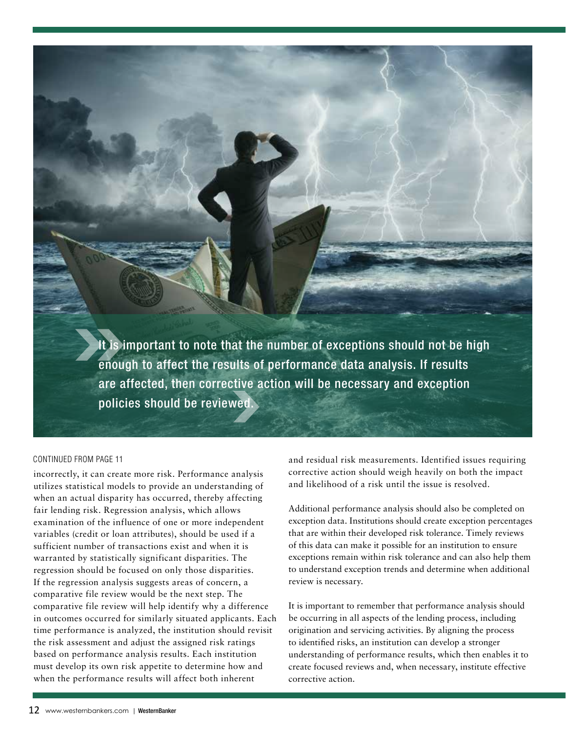It is important to note that the number of exceptions should not be high enough to affect the results of performance data analysis. If results are affected, then corrective action will be necessary and exception policies should be reviewed.

#### CONTINUED FROM PAGE 11

incorrectly, it can create more risk. Performance analysis utilizes statistical models to provide an understanding of when an actual disparity has occurred, thereby affecting fair lending risk. Regression analysis, which allows examination of the influence of one or more independent variables (credit or loan attributes), should be used if a sufficient number of transactions exist and when it is warranted by statistically significant disparities. The regression should be focused on only those disparities. If the regression analysis suggests areas of concern, a comparative file review would be the next step. The comparative file review will help identify why a difference in outcomes occurred for similarly situated applicants. Each time performance is analyzed, the institution should revisit the risk assessment and adjust the assigned risk ratings based on performance analysis results. Each institution must develop its own risk appetite to determine how and when the performance results will affect both inherent

and residual risk measurements. Identified issues requiring corrective action should weigh heavily on both the impact and likelihood of a risk until the issue is resolved.

Additional performance analysis should also be completed on exception data. Institutions should create exception percentages that are within their developed risk tolerance. Timely reviews of this data can make it possible for an institution to ensure exceptions remain within risk tolerance and can also help them to understand exception trends and determine when additional review is necessary.

It is important to remember that performance analysis should be occurring in all aspects of the lending process, including origination and servicing activities. By aligning the process to identified risks, an institution can develop a stronger understanding of performance results, which then enables it to create focused reviews and, when necessary, institute effective corrective action.